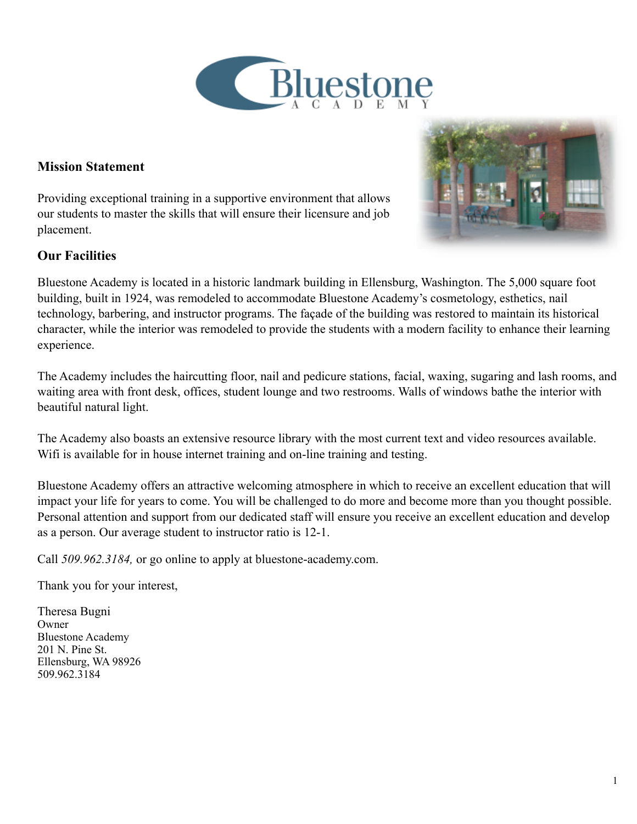

#### **Mission Statement**

Providing exceptional training in a supportive environment that allows our students to master the skills that will ensure their licensure and job placement.

#### **Our Facilities**



Bluestone Academy is located in a historic landmark building in Ellensburg, Washington. The 5,000 square foot building, built in 1924, was remodeled to accommodate Bluestone Academy's cosmetology, esthetics, nail technology, barbering, and instructor programs. The façade of the building was restored to maintain its historical character, while the interior was remodeled to provide the students with a modern facility to enhance their learning experience.

The Academy includes the haircutting floor, nail and pedicure stations, facial, waxing, sugaring and lash rooms, and waiting area with front desk, offices, student lounge and two restrooms. Walls of windows bathe the interior with beautiful natural light.

The Academy also boasts an extensive resource library with the most current text and video resources available. Wifi is available for in house internet training and on-line training and testing.

Bluestone Academy offers an attractive welcoming atmosphere in which to receive an excellent education that will impact your life for years to come. You will be challenged to do more and become more than you thought possible. Personal attention and support from our dedicated staff will ensure you receive an excellent education and develop as a person. Our average student to instructor ratio is 12-1.

Call *509.962.3184,* or go online to apply at bluestone-academy.com.

Thank you for your interest,

Theresa Bugni Owner Bluestone Academy 201 N. Pine St. Ellensburg, WA 98926 509.962.3184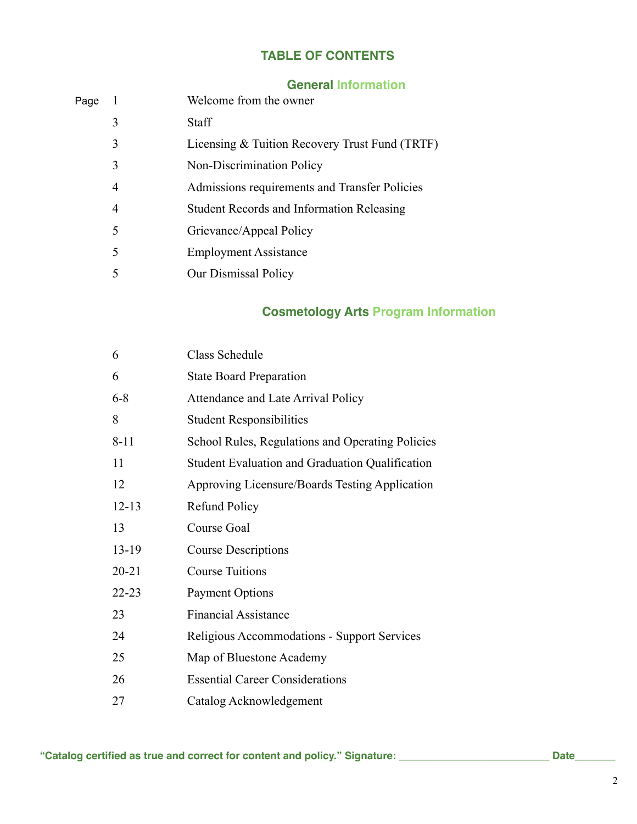# **TABLE OF CONTENTS**

### **General Information**

| Page |                | Welcome from the owner                           |
|------|----------------|--------------------------------------------------|
|      | 3              | Staff                                            |
|      | 3              | Licensing & Tuition Recovery Trust Fund (TRTF)   |
|      | 3              | Non-Discrimination Policy                        |
|      | 4              | Admissions requirements and Transfer Policies    |
|      | $\overline{4}$ | <b>Student Records and Information Releasing</b> |
|      | 5              | Grievance/Appeal Policy                          |
|      | 5              | <b>Employment Assistance</b>                     |
|      | 5              | Our Dismissal Policy                             |
|      |                |                                                  |

# **Cosmetology Arts Program Information**

| 6         | Class Schedule                                   |
|-----------|--------------------------------------------------|
| 6         | <b>State Board Preparation</b>                   |
| $6 - 8$   | Attendance and Late Arrival Policy               |
| 8         | <b>Student Responsibilities</b>                  |
| $8 - 11$  | School Rules, Regulations and Operating Policies |
| 11        | Student Evaluation and Graduation Qualification  |
| 12        | Approving Licensure/Boards Testing Application   |
| $12 - 13$ | <b>Refund Policy</b>                             |
| 13        | Course Goal                                      |
| 13-19     | <b>Course Descriptions</b>                       |
| $20 - 21$ | <b>Course Tuitions</b>                           |
| $22 - 23$ | <b>Payment Options</b>                           |
| 23        | <b>Financial Assistance</b>                      |
| 24        | Religious Accommodations - Support Services      |
| 25        | Map of Bluestone Academy                         |
| 26        | <b>Essential Career Considerations</b>           |
| 27        | Catalog Acknowledgement                          |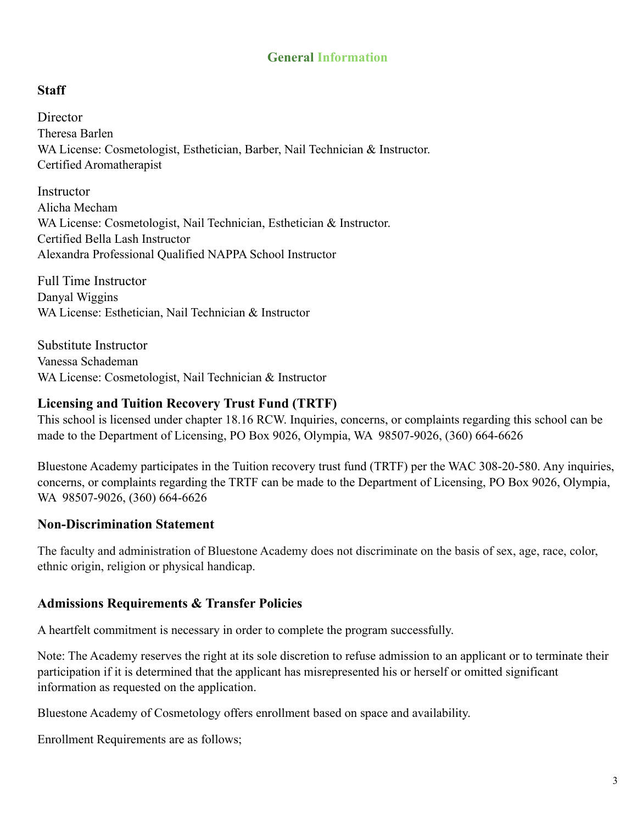### **General Information**

#### **Staff**

**Director** Theresa Barlen WA License: Cosmetologist, Esthetician, Barber, Nail Technician & Instructor. Certified Aromatherapist

**Instructor** Alicha Mecham WA License: Cosmetologist, Nail Technician, Esthetician & Instructor. Certified Bella Lash Instructor Alexandra Professional Qualified NAPPA School Instructor

Full Time Instructor Danyal Wiggins WA License: Esthetician, Nail Technician & Instructor

Substitute Instructor Vanessa Schademan WA License: Cosmetologist, Nail Technician & Instructor

#### **Licensing and Tuition Recovery Trust Fund (TRTF)**

This school is licensed under chapter 18.16 RCW. Inquiries, concerns, or complaints regarding this school can be made to the Department of Licensing, PO Box 9026, Olympia, WA 98507-9026, (360) 664-6626

Bluestone Academy participates in the Tuition recovery trust fund (TRTF) per the WAC 308-20-580. Any inquiries, concerns, or complaints regarding the TRTF can be made to the Department of Licensing, PO Box 9026, Olympia, WA 98507-9026, (360) 664-6626

#### **Non-Discrimination Statement**

The faculty and administration of Bluestone Academy does not discriminate on the basis of sex, age, race, color, ethnic origin, religion or physical handicap.

#### **Admissions Requirements & Transfer Policies**

A heartfelt commitment is necessary in order to complete the program successfully.

Note: The Academy reserves the right at its sole discretion to refuse admission to an applicant or to terminate their participation if it is determined that the applicant has misrepresented his or herself or omitted significant information as requested on the application.

Bluestone Academy of Cosmetology offers enrollment based on space and availability.

Enrollment Requirements are as follows;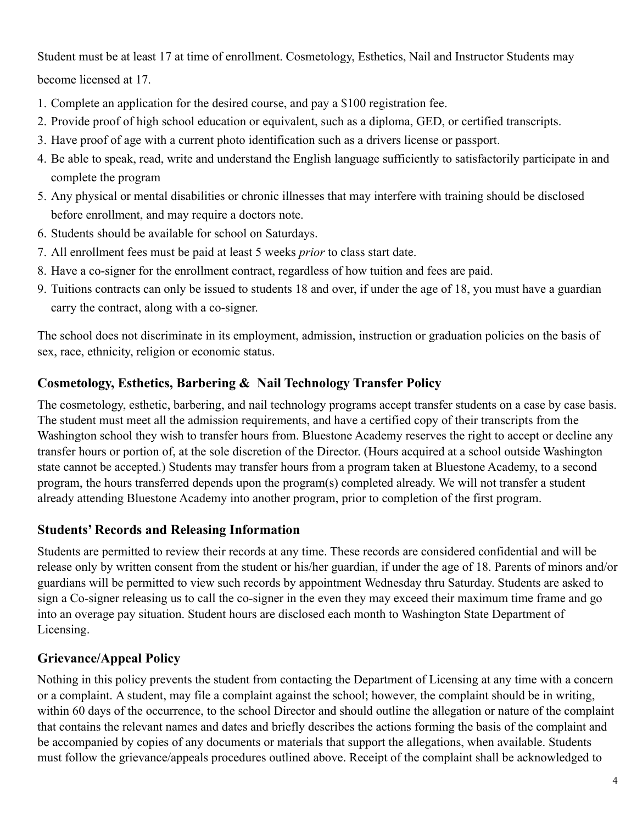Student must be at least 17 at time of enrollment. Cosmetology, Esthetics, Nail and Instructor Students may become licensed at 17.

- 1. Complete an application for the desired course, and pay a \$100 registration fee.
- 2. Provide proof of high school education or equivalent, such as a diploma, GED, or certified transcripts.
- 3. Have proof of age with a current photo identification such as a drivers license or passport.
- 4. Be able to speak, read, write and understand the English language sufficiently to satisfactorily participate in and complete the program
- 5. Any physical or mental disabilities or chronic illnesses that may interfere with training should be disclosed before enrollment, and may require a doctors note.
- 6. Students should be available for school on Saturdays.
- 7. All enrollment fees must be paid at least 5 weeks *prior* to class start date.
- 8. Have a co-signer for the enrollment contract, regardless of how tuition and fees are paid.
- 9. Tuitions contracts can only be issued to students 18 and over, if under the age of 18, you must have a guardian carry the contract, along with a co-signer.

The school does not discriminate in its employment, admission, instruction or graduation policies on the basis of sex, race, ethnicity, religion or economic status.

# **Cosmetology, Esthetics, Barbering & Nail Technology Transfer Policy**

The cosmetology, esthetic, barbering, and nail technology programs accept transfer students on a case by case basis. The student must meet all the admission requirements, and have a certified copy of their transcripts from the Washington school they wish to transfer hours from. Bluestone Academy reserves the right to accept or decline any transfer hours or portion of, at the sole discretion of the Director. (Hours acquired at a school outside Washington state cannot be accepted.) Students may transfer hours from a program taken at Bluestone Academy, to a second program, the hours transferred depends upon the program(s) completed already. We will not transfer a student already attending Bluestone Academy into another program, prior to completion of the first program.

### **Students' Records and Releasing Information**

Students are permitted to review their records at any time. These records are considered confidential and will be release only by written consent from the student or his/her guardian, if under the age of 18. Parents of minors and/or guardians will be permitted to view such records by appointment Wednesday thru Saturday. Students are asked to sign a Co-signer releasing us to call the co-signer in the even they may exceed their maximum time frame and go into an overage pay situation. Student hours are disclosed each month to Washington State Department of Licensing.

# **Grievance/Appeal Policy**

Nothing in this policy prevents the student from contacting the Department of Licensing at any time with a concern or a complaint. A student, may file a complaint against the school; however, the complaint should be in writing, within 60 days of the occurrence, to the school Director and should outline the allegation or nature of the complaint that contains the relevant names and dates and briefly describes the actions forming the basis of the complaint and be accompanied by copies of any documents or materials that support the allegations, when available. Students must follow the grievance/appeals procedures outlined above. Receipt of the complaint shall be acknowledged to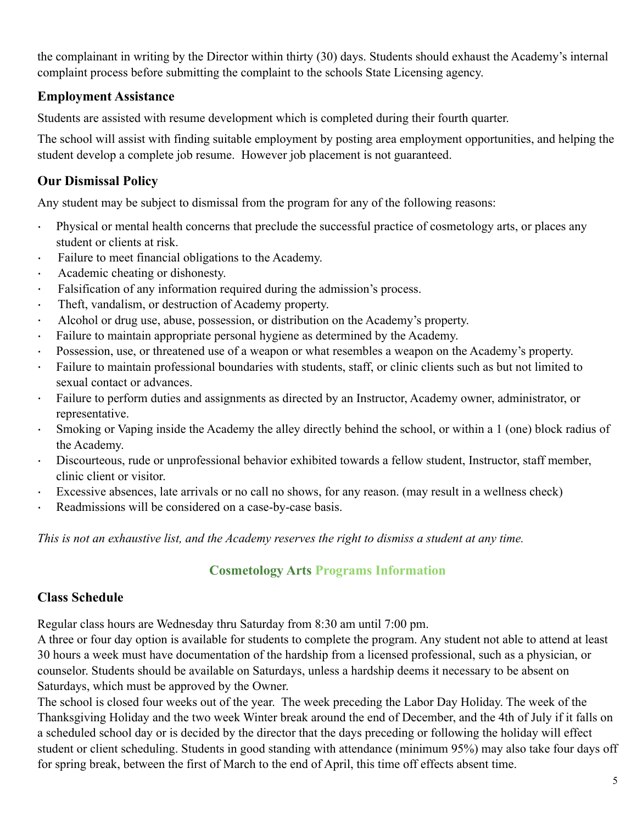the complainant in writing by the Director within thirty (30) days. Students should exhaust the Academy's internal complaint process before submitting the complaint to the schools State Licensing agency.

### **Employment Assistance**

Students are assisted with resume development which is completed during their fourth quarter.

The school will assist with finding suitable employment by posting area employment opportunities, and helping the student develop a complete job resume. However job placement is not guaranteed.

# **Our Dismissal Policy**

Any student may be subject to dismissal from the program for any of the following reasons:

- · Physical or mental health concerns that preclude the successful practice of cosmetology arts, or places any student or clients at risk.
- · Failure to meet financial obligations to the Academy.
- Academic cheating or dishonesty.
- · Falsification of any information required during the admission's process.
- · Theft, vandalism, or destruction of Academy property.
- · Alcohol or drug use, abuse, possession, or distribution on the Academy's property.
- · Failure to maintain appropriate personal hygiene as determined by the Academy.
- Possession, use, or threatened use of a weapon or what resembles a weapon on the Academy's property.
- · Failure to maintain professional boundaries with students, staff, or clinic clients such as but not limited to sexual contact or advances.
- · Failure to perform duties and assignments as directed by an Instructor, Academy owner, administrator, or representative.
- · Smoking or Vaping inside the Academy the alley directly behind the school, or within a 1 (one) block radius of the Academy.
- · Discourteous, rude or unprofessional behavior exhibited towards a fellow student, Instructor, staff member, clinic client or visitor.
- · Excessive absences, late arrivals or no call no shows, for any reason. (may result in a wellness check)
- · Readmissions will be considered on a case-by-case basis.

*This is not an exhaustive list, and the Academy reserves the right to dismiss a student at any time.*

# **Cosmetology Arts Programs Information**

# **Class Schedule**

Regular class hours are Wednesday thru Saturday from 8:30 am until 7:00 pm.

A three or four day option is available for students to complete the program. Any student not able to attend at least 30 hours a week must have documentation of the hardship from a licensed professional, such as a physician, or counselor. Students should be available on Saturdays, unless a hardship deems it necessary to be absent on Saturdays, which must be approved by the Owner.

The school is closed four weeks out of the year. The week preceding the Labor Day Holiday. The week of the Thanksgiving Holiday and the two week Winter break around the end of December, and the 4th of July if it falls on a scheduled school day or is decided by the director that the days preceding or following the holiday will effect student or client scheduling. Students in good standing with attendance (minimum 95%) may also take four days off for spring break, between the first of March to the end of April, this time off effects absent time.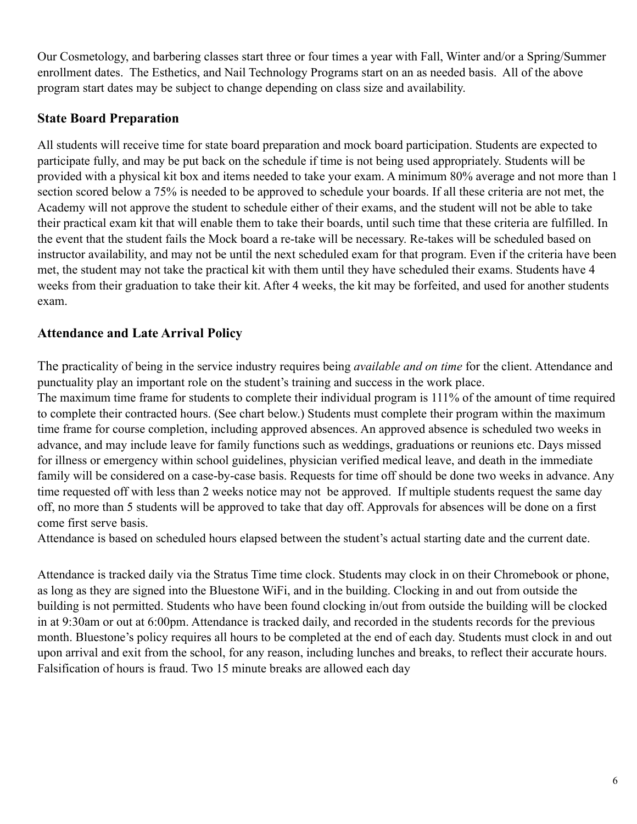Our Cosmetology, and barbering classes start three or four times a year with Fall, Winter and/or a Spring/Summer enrollment dates. The Esthetics, and Nail Technology Programs start on an as needed basis. All of the above program start dates may be subject to change depending on class size and availability.

### **State Board Preparation**

All students will receive time for state board preparation and mock board participation. Students are expected to participate fully, and may be put back on the schedule if time is not being used appropriately. Students will be provided with a physical kit box and items needed to take your exam. A minimum 80% average and not more than 1 section scored below a 75% is needed to be approved to schedule your boards. If all these criteria are not met, the Academy will not approve the student to schedule either of their exams, and the student will not be able to take their practical exam kit that will enable them to take their boards, until such time that these criteria are fulfilled. In the event that the student fails the Mock board a re-take will be necessary. Re-takes will be scheduled based on instructor availability, and may not be until the next scheduled exam for that program. Even if the criteria have been met, the student may not take the practical kit with them until they have scheduled their exams. Students have 4 weeks from their graduation to take their kit. After 4 weeks, the kit may be forfeited, and used for another students exam.

# **Attendance and Late Arrival Policy**

The practicality of being in the service industry requires being *available and on time* for the client. Attendance and punctuality play an important role on the student's training and success in the work place.

The maximum time frame for students to complete their individual program is 111% of the amount of time required to complete their contracted hours. (See chart below.) Students must complete their program within the maximum time frame for course completion, including approved absences. An approved absence is scheduled two weeks in advance, and may include leave for family functions such as weddings, graduations or reunions etc. Days missed for illness or emergency within school guidelines, physician verified medical leave, and death in the immediate family will be considered on a case-by-case basis. Requests for time off should be done two weeks in advance. Any time requested off with less than 2 weeks notice may not be approved. If multiple students request the same day off, no more than 5 students will be approved to take that day off. Approvals for absences will be done on a first come first serve basis.

Attendance is based on scheduled hours elapsed between the student's actual starting date and the current date.

Attendance is tracked daily via the Stratus Time time clock. Students may clock in on their Chromebook or phone, as long as they are signed into the Bluestone WiFi, and in the building. Clocking in and out from outside the building is not permitted. Students who have been found clocking in/out from outside the building will be clocked in at 9:30am or out at 6:00pm. Attendance is tracked daily, and recorded in the students records for the previous month. Bluestone's policy requires all hours to be completed at the end of each day. Students must clock in and out upon arrival and exit from the school, for any reason, including lunches and breaks, to reflect their accurate hours. Falsification of hours is fraud. Two 15 minute breaks are allowed each day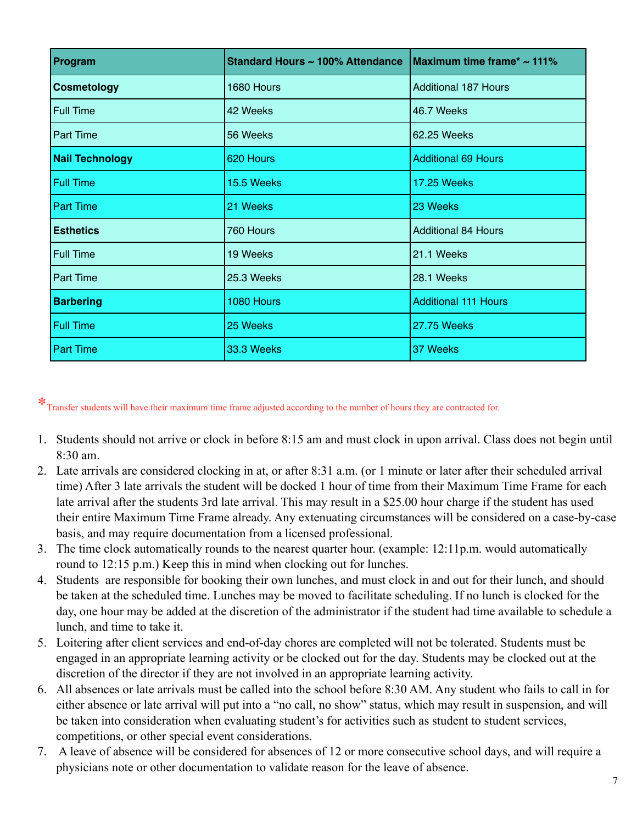| Program                | Standard Hours ~ 100% Attendance | Maximum time frame* ~ 111%  |
|------------------------|----------------------------------|-----------------------------|
| <b>Cosmetology</b>     | 1680 Hours                       | <b>Additional 187 Hours</b> |
| <b>Full Time</b>       | 42 Weeks                         | 46.7 Weeks                  |
| <b>Part Time</b>       | 56 Weeks                         | 62.25 Weeks                 |
| <b>Nail Technology</b> | 620 Hours                        | <b>Additional 69 Hours</b>  |
| <b>Full Time</b>       | 15.5 Weeks                       | <b>17.25 Weeks</b>          |
| <b>Part Time</b>       | 21 Weeks                         | 23 Weeks                    |
| <b>Esthetics</b>       | 760 Hours                        | <b>Additional 84 Hours</b>  |
| <b>Full Time</b>       | 19 Weeks                         | 21.1 Weeks                  |
| <b>Part Time</b>       | 25.3 Weeks                       | 28.1 Weeks                  |
| <b>Barbering</b>       | 1080 Hours                       | <b>Additional 111 Hours</b> |
| Full Time              | 25 Weeks                         | 27.75 Weeks                 |
| <b>Part Time</b>       | 33.3 Weeks                       | 37 Weeks                    |

\*Transfer students will have their maximum time frame adjusted according to the number of hours they are contracted for.

- 1. Students should not arrive or clock in before 8:15 am and must clock in upon arrival. Class does not begin until 8:30 am.
- 2. Late arrivals are considered clocking in at, or after 8:31 a.m. (or 1 minute or later after their scheduled arrival time) After 3 late arrivals the student will be docked 1 hour of time from their Maximum Time Frame for each late arrival after the students 3rd late arrival. This may result in a \$25.00 hour charge if the student has used their entire Maximum Time Frame already. Any extenuating circumstances will be considered on a case-by-case basis, and may require documentation from a licensed professional.
- 3. The time clock automatically rounds to the nearest quarter hour. (example: 12:11p.m. would automatically round to 12:15 p.m.) Keep this in mind when clocking out for lunches.
- 4. Students are responsible for booking their own lunches, and must clock in and out for their lunch, and should be taken at the scheduled time. Lunches may be moved to facilitate scheduling. If no lunch is clocked for the day, one hour may be added at the discretion of the administrator if the student had time available to schedule a lunch, and time to take it.
- 5. Loitering after client services and end-of-day chores are completed will not be tolerated. Students must be engaged in an appropriate learning activity or be clocked out for the day. Students may be clocked out at the discretion of the director if they are not involved in an appropriate learning activity.
- 6. All absences or late arrivals must be called into the school before 8:30 AM. Any student who fails to call in for either absence or late arrival will put into a "no call, no show" status, which may result in suspension, and will be taken into consideration when evaluating student's for activities such as student to student services, competitions, or other special event considerations.
- 7. A leave of absence will be considered for absences of 12 or more consecutive school days, and will require a physicians note or other documentation to validate reason for the leave of absence.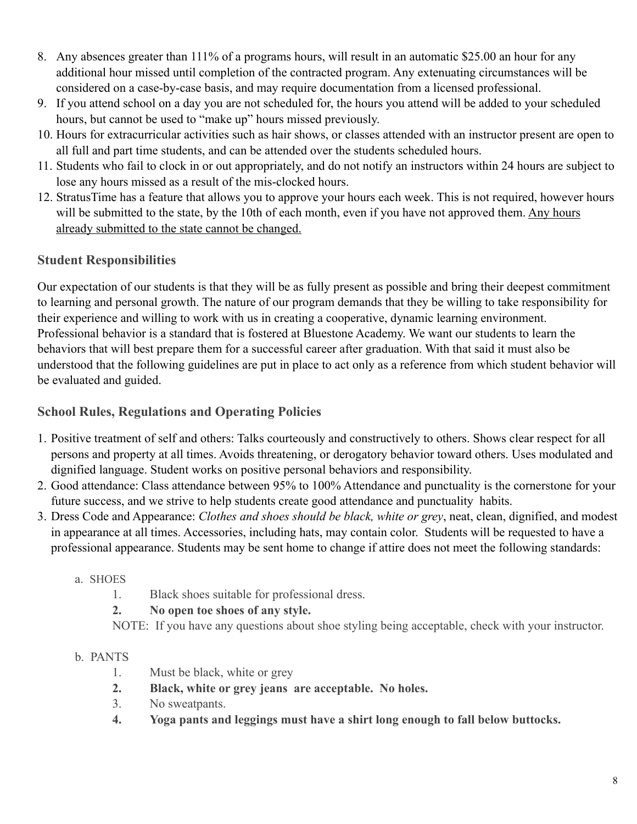- 8. Any absences greater than 111% of a programs hours, will result in an automatic \$25.00 an hour for any additional hour missed until completion of the contracted program. Any extenuating circumstances will be considered on a case-by-case basis, and may require documentation from a licensed professional.
- 9. If you attend school on a day you are not scheduled for, the hours you attend will be added to your scheduled hours, but cannot be used to "make up" hours missed previously.
- 10. Hours for extracurricular activities such as hair shows, or classes attended with an instructor present are open to all full and part time students, and can be attended over the students scheduled hours.
- 11. Students who fail to clock in or out appropriately, and do not notify an instructors within 24 hours are subject to lose any hours missed as a result of the mis-clocked hours.
- 12. StratusTime has a feature that allows you to approve your hours each week. This is not required, however hours will be submitted to the state, by the 10th of each month, even if you have not approved them. Any hours already submitted to the state cannot be changed.

# **Student Responsibilities**

Our expectation of our students is that they will be as fully present as possible and bring their deepest commitment to learning and personal growth. The nature of our program demands that they be willing to take responsibility for their experience and willing to work with us in creating a cooperative, dynamic learning environment. Professional behavior is a standard that is fostered at Bluestone Academy. We want our students to learn the behaviors that will best prepare them for a successful career after graduation. With that said it must also be understood that the following guidelines are put in place to act only as a reference from which student behavior will be evaluated and guided.

### **School Rules, Regulations and Operating Policies**

- 1. Positive treatment of self and others: Talks courteously and constructively to others. Shows clear respect for all persons and property at all times. Avoids threatening, or derogatory behavior toward others. Uses modulated and dignified language. Student works on positive personal behaviors and responsibility.
- 2. Good attendance: Class attendance between 95% to 100% Attendance and punctuality is the cornerstone for your future success, and we strive to help students create good attendance and punctuality habits.
- 3. Dress Code and Appearance: *Clothes and shoes should be black, white or grey*, neat, clean, dignified, and modest in appearance at all times. Accessories, including hats, may contain color. Students will be requested to have a professional appearance. Students may be sent home to change if attire does not meet the following standards:

#### a. SHOES

- 1. Black shoes suitable for professional dress.
- **2. No open toe shoes of any style.**

NOTE: If you have any questions about shoe styling being acceptable, check with your instructor.

#### b. PANTS

- 1. Must be black, white or grey
- **2. Black, white or grey jeans are acceptable. No holes.**
- 3. No sweatpants.
- **4. Yoga pants and leggings must have a shirt long enough to fall below buttocks.**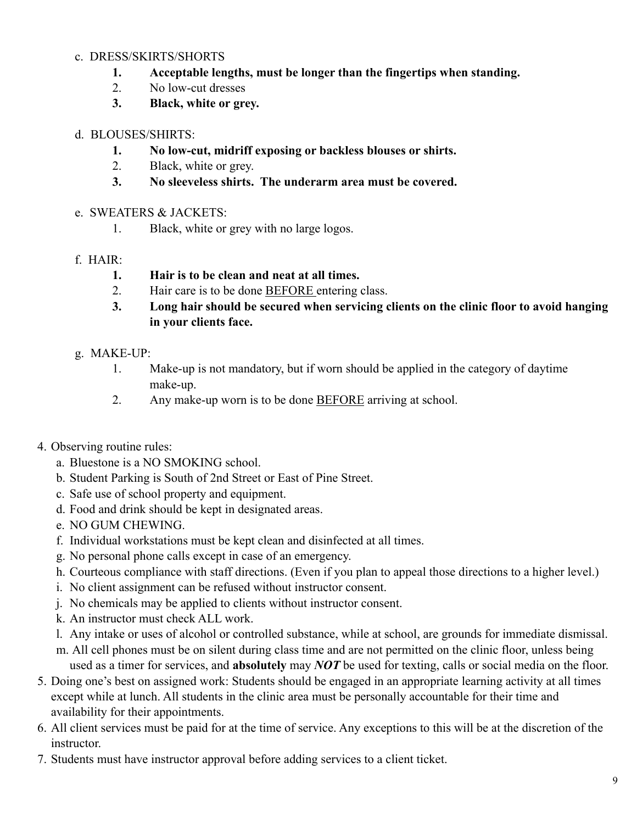#### c. DRESS/SKIRTS/SHORTS

- **1. Acceptable lengths, must be longer than the fingertips when standing.**
- 2. No low-cut dresses
- **3. Black, white or grey.**

#### d. BLOUSES/SHIRTS:

- **1. No low-cut, midriff exposing or backless blouses or shirts.**
- 2. Black, white or grey.
- **3. No sleeveless shirts. The underarm area must be covered.**

#### e. SWEATERS & JACKETS:

1. Black, white or grey with no large logos.

#### f. HAIR:

- **1. Hair is to be clean and neat at all times.**
- 2. Hair care is to be done BEFORE entering class.
- **3. Long hair should be secured when servicing clients on the clinic floor to avoid hanging in your clients face.**

#### g. MAKE-UP:

- 1. Make-up is not mandatory, but if worn should be applied in the category of daytime make-up.
- 2. Any make-up worn is to be done **BEFORE** arriving at school.
- 4. Observing routine rules:
	- a. Bluestone is a NO SMOKING school.
	- b. Student Parking is South of 2nd Street or East of Pine Street.
	- c. Safe use of school property and equipment.
	- d. Food and drink should be kept in designated areas.
	- e. NO GUM CHEWING.
	- f. Individual workstations must be kept clean and disinfected at all times.
	- g. No personal phone calls except in case of an emergency.
	- h. Courteous compliance with staff directions. (Even if you plan to appeal those directions to a higher level.)
	- i. No client assignment can be refused without instructor consent.
	- j. No chemicals may be applied to clients without instructor consent.
	- k. An instructor must check ALL work.
	- l. Any intake or uses of alcohol or controlled substance, while at school, are grounds for immediate dismissal.
	- m. All cell phones must be on silent during class time and are not permitted on the clinic floor, unless being used as a timer for services, and **absolutely** may *NOT* be used for texting, calls or social media on the floor.
- 5. Doing one's best on assigned work: Students should be engaged in an appropriate learning activity at all times except while at lunch. All students in the clinic area must be personally accountable for their time and availability for their appointments.
- 6. All client services must be paid for at the time of service. Any exceptions to this will be at the discretion of the instructor.
- 7. Students must have instructor approval before adding services to a client ticket.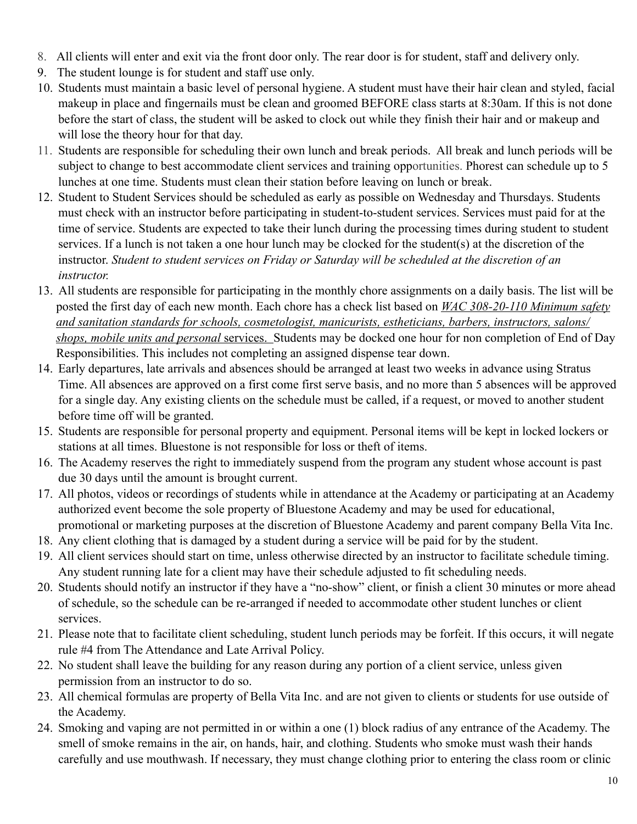- 8. All clients will enter and exit via the front door only. The rear door is for student, staff and delivery only.
- 9. The student lounge is for student and staff use only.
- 10. Students must maintain a basic level of personal hygiene. A student must have their hair clean and styled, facial makeup in place and fingernails must be clean and groomed BEFORE class starts at 8:30am. If this is not done before the start of class, the student will be asked to clock out while they finish their hair and or makeup and will lose the theory hour for that day.
- 11. Students are responsible for scheduling their own lunch and break periods. All break and lunch periods will be subject to change to best accommodate client services and training opportunities. Phorest can schedule up to 5 lunches at one time. Students must clean their station before leaving on lunch or break.
- 12. Student to Student Services should be scheduled as early as possible on Wednesday and Thursdays. Students must check with an instructor before participating in student-to-student services. Services must paid for at the time of service. Students are expected to take their lunch during the processing times during student to student services. If a lunch is not taken a one hour lunch may be clocked for the student(s) at the discretion of the instructor. *Student to student services on Friday or Saturday will be scheduled at the discretion of an instructor.*
- 13. All students are responsible for participating in the monthly chore assignments on a daily basis. The list will be posted the first day of each new month. Each chore has a check list based on *WAC 308-20-110 Minimum safety and sanitation standards for schools, cosmetologist, manicurists, estheticians, barbers, instructors, salons/ shops, mobile units and personal* services. Students may be docked one hour for non completion of End of Day Responsibilities. This includes not completing an assigned dispense tear down.
- 14. Early departures, late arrivals and absences should be arranged at least two weeks in advance using Stratus Time. All absences are approved on a first come first serve basis, and no more than 5 absences will be approved for a single day. Any existing clients on the schedule must be called, if a request, or moved to another student before time off will be granted.
- 15. Students are responsible for personal property and equipment. Personal items will be kept in locked lockers or stations at all times. Bluestone is not responsible for loss or theft of items.
- 16. The Academy reserves the right to immediately suspend from the program any student whose account is past due 30 days until the amount is brought current.
- 17. All photos, videos or recordings of students while in attendance at the Academy or participating at an Academy authorized event become the sole property of Bluestone Academy and may be used for educational, promotional or marketing purposes at the discretion of Bluestone Academy and parent company Bella Vita Inc.
- 18. Any client clothing that is damaged by a student during a service will be paid for by the student.
- 19. All client services should start on time, unless otherwise directed by an instructor to facilitate schedule timing. Any student running late for a client may have their schedule adjusted to fit scheduling needs.
- 20. Students should notify an instructor if they have a "no-show" client, or finish a client 30 minutes or more ahead of schedule, so the schedule can be re-arranged if needed to accommodate other student lunches or client services.
- 21. Please note that to facilitate client scheduling, student lunch periods may be forfeit. If this occurs, it will negate rule #4 from The Attendance and Late Arrival Policy.
- 22. No student shall leave the building for any reason during any portion of a client service, unless given permission from an instructor to do so.
- 23. All chemical formulas are property of Bella Vita Inc. and are not given to clients or students for use outside of the Academy.
- 24. Smoking and vaping are not permitted in or within a one (1) block radius of any entrance of the Academy. The smell of smoke remains in the air, on hands, hair, and clothing. Students who smoke must wash their hands carefully and use mouthwash. If necessary, they must change clothing prior to entering the class room or clinic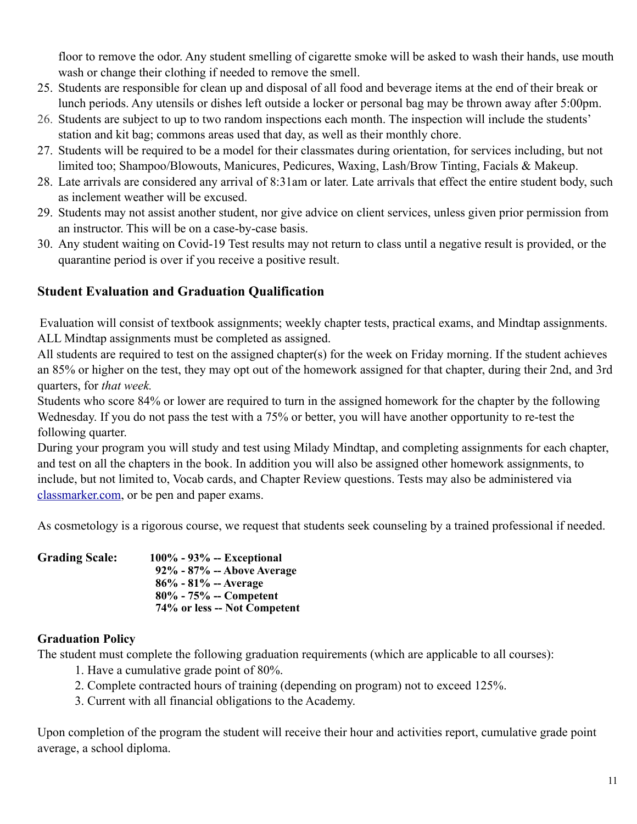floor to remove the odor. Any student smelling of cigarette smoke will be asked to wash their hands, use mouth wash or change their clothing if needed to remove the smell.

- 25. Students are responsible for clean up and disposal of all food and beverage items at the end of their break or lunch periods. Any utensils or dishes left outside a locker or personal bag may be thrown away after 5:00pm.
- 26. Students are subject to up to two random inspections each month. The inspection will include the students' station and kit bag; commons areas used that day, as well as their monthly chore.
- 27. Students will be required to be a model for their classmates during orientation, for services including, but not limited too; Shampoo/Blowouts, Manicures, Pedicures, Waxing, Lash/Brow Tinting, Facials & Makeup.
- 28. Late arrivals are considered any arrival of 8:31am or later. Late arrivals that effect the entire student body, such as inclement weather will be excused.
- 29. Students may not assist another student, nor give advice on client services, unless given prior permission from an instructor. This will be on a case-by-case basis.
- 30. Any student waiting on Covid-19 Test results may not return to class until a negative result is provided, or the quarantine period is over if you receive a positive result.

### **Student Evaluation and Graduation Qualification**

Evaluation will consist of textbook assignments; weekly chapter tests, practical exams, and Mindtap assignments. ALL Mindtap assignments must be completed as assigned.

All students are required to test on the assigned chapter(s) for the week on Friday morning. If the student achieves an 85% or higher on the test, they may opt out of the homework assigned for that chapter, during their 2nd, and 3rd quarters, for *that week.* 

Students who score 84% or lower are required to turn in the assigned homework for the chapter by the following Wednesday. If you do not pass the test with a 75% or better, you will have another opportunity to re-test the following quarter.

During your program you will study and test using Milady Mindtap, and completing assignments for each chapter, and test on all the chapters in the book. In addition you will also be assigned other homework assignments, to include, but not limited to, Vocab cards, and Chapter Review questions. Tests may also be administered via [classmarker.com](http://classmarker.com), or be pen and paper exams.

As cosmetology is a rigorous course, we request that students seek counseling by a trained professional if needed.

| <b>Grading Scale:</b> | $100\% - 93\% - Exceptional$ |
|-----------------------|------------------------------|
|                       | 92% - 87% -- Above Average   |
|                       | $86\%$ - $81\%$ -- Average   |
|                       | $80\%$ - 75% -- Competent    |
|                       | 74% or less -- Not Competent |

#### **Graduation Policy**

The student must complete the following graduation requirements (which are applicable to all courses):

- 1. Have a cumulative grade point of 80%.
- 2. Complete contracted hours of training (depending on program) not to exceed 125%.
- 3. Current with all financial obligations to the Academy.

Upon completion of the program the student will receive their hour and activities report, cumulative grade point average, a school diploma.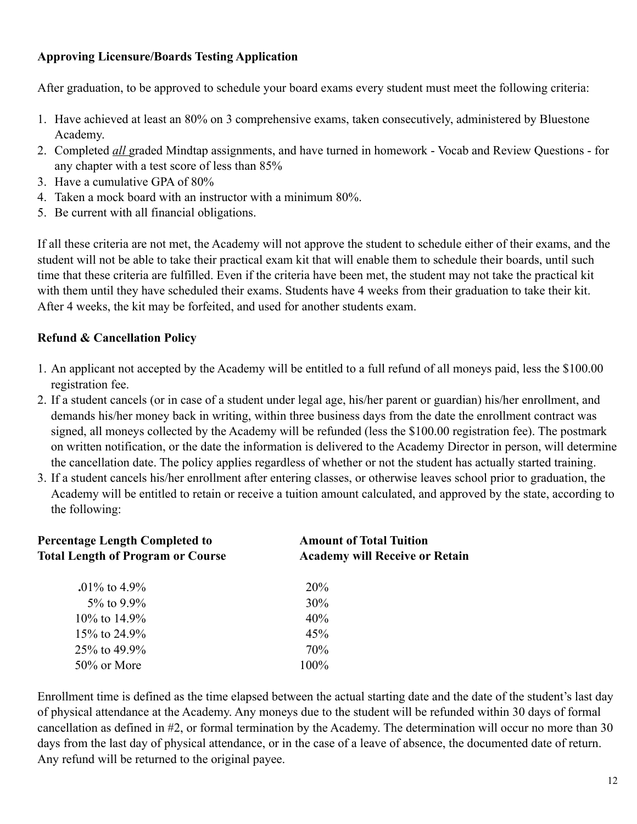#### **Approving Licensure/Boards Testing Application**

After graduation, to be approved to schedule your board exams every student must meet the following criteria:

- 1. Have achieved at least an 80% on 3 comprehensive exams, taken consecutively, administered by Bluestone Academy.
- 2. Completed *all* graded Mindtap assignments, and have turned in homework Vocab and Review Questions for any chapter with a test score of less than 85%
- 3. Have a cumulative GPA of 80%
- 4. Taken a mock board with an instructor with a minimum 80%.
- 5. Be current with all financial obligations.

If all these criteria are not met, the Academy will not approve the student to schedule either of their exams, and the student will not be able to take their practical exam kit that will enable them to schedule their boards, until such time that these criteria are fulfilled. Even if the criteria have been met, the student may not take the practical kit with them until they have scheduled their exams. Students have 4 weeks from their graduation to take their kit. After 4 weeks, the kit may be forfeited, and used for another students exam.

# **Refund & Cancellation Policy**

- 1. An applicant not accepted by the Academy will be entitled to a full refund of all moneys paid, less the \$100.00 registration fee.
- 2. If a student cancels (or in case of a student under legal age, his/her parent or guardian) his/her enrollment, and demands his/her money back in writing, within three business days from the date the enrollment contract was signed, all moneys collected by the Academy will be refunded (less the \$100.00 registration fee). The postmark on written notification, or the date the information is delivered to the Academy Director in person, will determine the cancellation date. The policy applies regardless of whether or not the student has actually started training.
- 3. If a student cancels his/her enrollment after entering classes, or otherwise leaves school prior to graduation, the Academy will be entitled to retain or receive a tuition amount calculated, and approved by the state, according to the following:

| <b>Percentage Length Completed to</b><br><b>Total Length of Program or Course</b> | <b>Amount of Total Tuition</b><br><b>Academy will Receive or Retain</b> |
|-----------------------------------------------------------------------------------|-------------------------------------------------------------------------|
| $.01\%$ to 4.9%                                                                   | 20%                                                                     |
| $5\%$ to 9.9%                                                                     | 30%                                                                     |
| $10\%$ to $14.9\%$                                                                | 40%                                                                     |
| 15\% to 24.9\%                                                                    | 45%                                                                     |
| 25\% to 49.9\%                                                                    | 70%                                                                     |
| $50\%$ or More                                                                    | 100%                                                                    |

Enrollment time is defined as the time elapsed between the actual starting date and the date of the student's last day of physical attendance at the Academy. Any moneys due to the student will be refunded within 30 days of formal cancellation as defined in #2, or formal termination by the Academy. The determination will occur no more than 30 days from the last day of physical attendance, or in the case of a leave of absence, the documented date of return. Any refund will be returned to the original payee.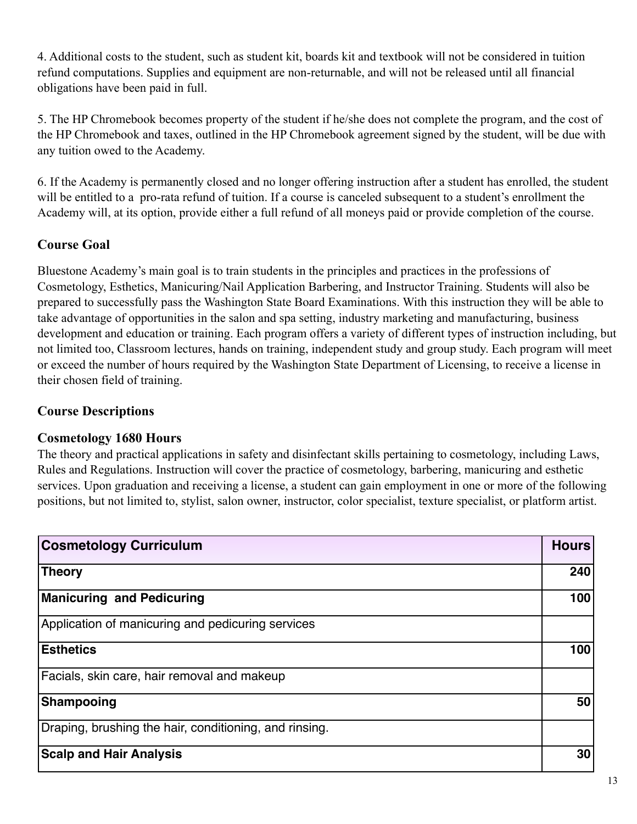4. Additional costs to the student, such as student kit, boards kit and textbook will not be considered in tuition refund computations. Supplies and equipment are non-returnable, and will not be released until all financial obligations have been paid in full.

5. The HP Chromebook becomes property of the student if he/she does not complete the program, and the cost of the HP Chromebook and taxes, outlined in the HP Chromebook agreement signed by the student, will be due with any tuition owed to the Academy.

6. If the Academy is permanently closed and no longer offering instruction after a student has enrolled, the student will be entitled to a pro-rata refund of tuition. If a course is canceled subsequent to a student's enrollment the Academy will, at its option, provide either a full refund of all moneys paid or provide completion of the course.

### **Course Goal**

Bluestone Academy's main goal is to train students in the principles and practices in the professions of Cosmetology, Esthetics, Manicuring/Nail Application Barbering, and Instructor Training. Students will also be prepared to successfully pass the Washington State Board Examinations. With this instruction they will be able to take advantage of opportunities in the salon and spa setting, industry marketing and manufacturing, business development and education or training. Each program offers a variety of different types of instruction including, but not limited too, Classroom lectures, hands on training, independent study and group study. Each program will meet or exceed the number of hours required by the Washington State Department of Licensing, to receive a license in their chosen field of training.

### **Course Descriptions**

#### **Cosmetology 1680 Hours**

The theory and practical applications in safety and disinfectant skills pertaining to cosmetology, including Laws, Rules and Regulations. Instruction will cover the practice of cosmetology, barbering, manicuring and esthetic services. Upon graduation and receiving a license, a student can gain employment in one or more of the following positions, but not limited to, stylist, salon owner, instructor, color specialist, texture specialist, or platform artist.

| <b>Cosmetology Curriculum</b>                          | <b>Hours</b> |
|--------------------------------------------------------|--------------|
| Theory                                                 | 240          |
| <b>Manicuring and Pedicuring</b>                       | 100          |
| Application of manicuring and pedicuring services      |              |
| <b>Esthetics</b>                                       | 100          |
| Facials, skin care, hair removal and makeup            |              |
| Shampooing                                             | 50           |
| Draping, brushing the hair, conditioning, and rinsing. |              |
| <b>Scalp and Hair Analysis</b>                         | 30           |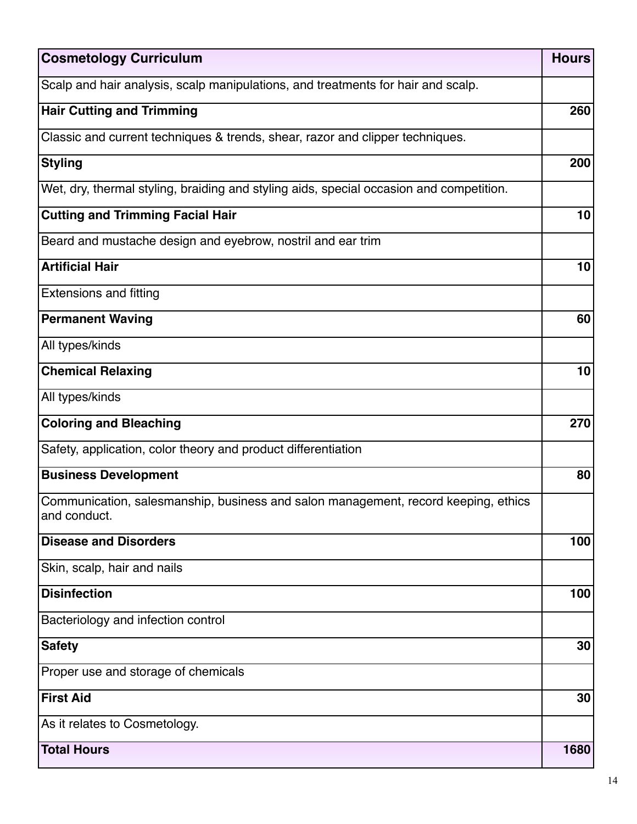| <b>Cosmetology Curriculum</b>                                                                      | <b>Hours</b> |
|----------------------------------------------------------------------------------------------------|--------------|
| Scalp and hair analysis, scalp manipulations, and treatments for hair and scalp.                   |              |
| <b>Hair Cutting and Trimming</b>                                                                   | 260          |
| Classic and current techniques & trends, shear, razor and clipper techniques.                      |              |
| <b>Styling</b>                                                                                     | 200          |
| Wet, dry, thermal styling, braiding and styling aids, special occasion and competition.            |              |
| <b>Cutting and Trimming Facial Hair</b>                                                            | 10           |
| Beard and mustache design and eyebrow, nostril and ear trim                                        |              |
| <b>Artificial Hair</b>                                                                             | 10           |
| <b>Extensions and fitting</b>                                                                      |              |
| <b>Permanent Waving</b>                                                                            | 60           |
| All types/kinds                                                                                    |              |
| <b>Chemical Relaxing</b>                                                                           | 10           |
| All types/kinds                                                                                    |              |
| <b>Coloring and Bleaching</b>                                                                      | 270          |
| Safety, application, color theory and product differentiation                                      |              |
| <b>Business Development</b>                                                                        | 80           |
| Communication, salesmanship, business and salon management, record keeping, ethics<br>and conduct. |              |
| <b>Disease and Disorders</b>                                                                       | 100          |
| Skin, scalp, hair and nails                                                                        |              |
| <b>Disinfection</b>                                                                                | 100          |
| Bacteriology and infection control                                                                 |              |
| <b>Safety</b>                                                                                      | 30           |
| Proper use and storage of chemicals                                                                |              |
| <b>First Aid</b>                                                                                   | 30           |
| As it relates to Cosmetology.                                                                      |              |
| <b>Total Hours</b>                                                                                 | 1680         |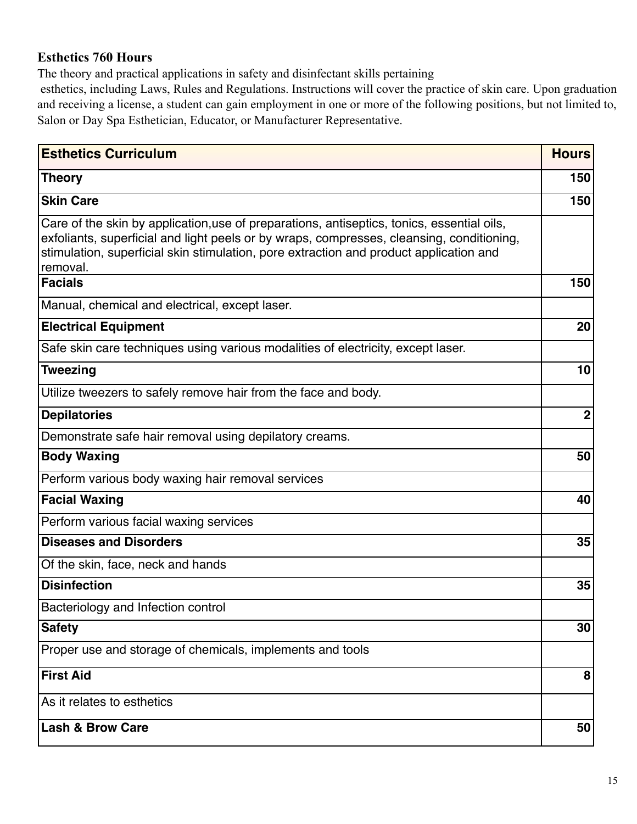### **Esthetics 760 Hours**

The theory and practical applications in safety and disinfectant skills pertaining

 esthetics, including Laws, Rules and Regulations. Instructions will cover the practice of skin care. Upon graduation and receiving a license, a student can gain employment in one or more of the following positions, but not limited to, Salon or Day Spa Esthetician, Educator, or Manufacturer Representative.

| <b>Esthetics Curriculum</b>                                                                                                                                                                                                                                                                   | <b>Hours</b>     |
|-----------------------------------------------------------------------------------------------------------------------------------------------------------------------------------------------------------------------------------------------------------------------------------------------|------------------|
| <b>Theory</b>                                                                                                                                                                                                                                                                                 | 150              |
| <b>Skin Care</b>                                                                                                                                                                                                                                                                              | 150              |
| Care of the skin by application, use of preparations, antiseptics, tonics, essential oils,<br>exfoliants, superficial and light peels or by wraps, compresses, cleansing, conditioning,<br>stimulation, superficial skin stimulation, pore extraction and product application and<br>removal. |                  |
| <b>Facials</b>                                                                                                                                                                                                                                                                                | 150              |
| Manual, chemical and electrical, except laser.                                                                                                                                                                                                                                                |                  |
| <b>Electrical Equipment</b>                                                                                                                                                                                                                                                                   | 20               |
| Safe skin care techniques using various modalities of electricity, except laser.                                                                                                                                                                                                              |                  |
| <b>Tweezing</b>                                                                                                                                                                                                                                                                               | 10               |
| Utilize tweezers to safely remove hair from the face and body.                                                                                                                                                                                                                                |                  |
| <b>Depilatories</b>                                                                                                                                                                                                                                                                           | $\boldsymbol{2}$ |
| Demonstrate safe hair removal using depilatory creams.                                                                                                                                                                                                                                        |                  |
| <b>Body Waxing</b>                                                                                                                                                                                                                                                                            | 50               |
| Perform various body waxing hair removal services                                                                                                                                                                                                                                             |                  |
| <b>Facial Waxing</b>                                                                                                                                                                                                                                                                          | 40               |
| Perform various facial waxing services                                                                                                                                                                                                                                                        |                  |
| <b>Diseases and Disorders</b>                                                                                                                                                                                                                                                                 | 35               |
| Of the skin, face, neck and hands                                                                                                                                                                                                                                                             |                  |
| <b>Disinfection</b>                                                                                                                                                                                                                                                                           | 35               |
| Bacteriology and Infection control                                                                                                                                                                                                                                                            |                  |
| <b>Safety</b>                                                                                                                                                                                                                                                                                 | 30 <sub>1</sub>  |
| Proper use and storage of chemicals, implements and tools                                                                                                                                                                                                                                     |                  |
| <b>First Aid</b>                                                                                                                                                                                                                                                                              | 8                |
| As it relates to esthetics                                                                                                                                                                                                                                                                    |                  |
| <b>Lash &amp; Brow Care</b>                                                                                                                                                                                                                                                                   | 50               |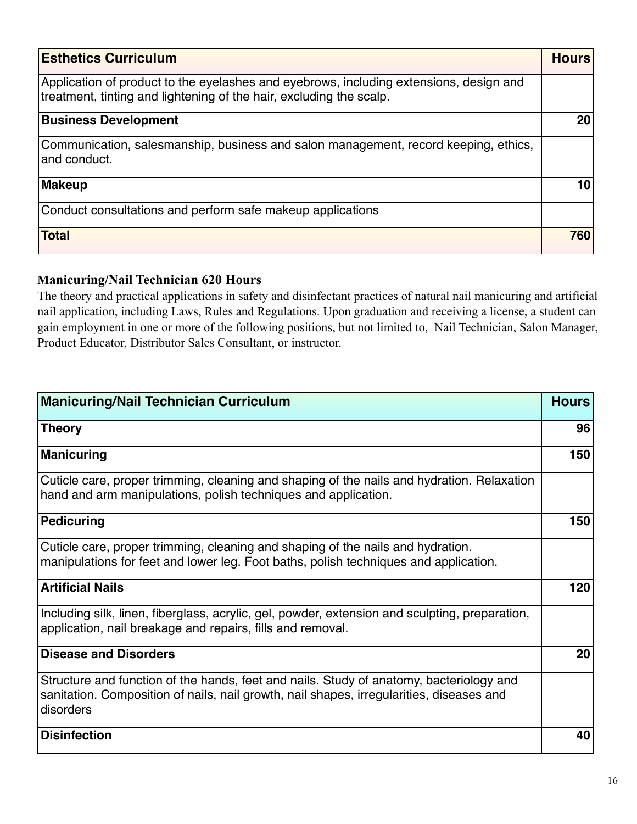| <b>Esthetics Curriculum</b>                                                                                                                                   | <b>Hours</b> |
|---------------------------------------------------------------------------------------------------------------------------------------------------------------|--------------|
| Application of product to the eyelashes and eyebrows, including extensions, design and<br>treatment, tinting and lightening of the hair, excluding the scalp. |              |
| <b>Business Development</b>                                                                                                                                   | 20           |
| Communication, salesmanship, business and salon management, record keeping, ethics,<br>and conduct.                                                           |              |
| <b>Makeup</b>                                                                                                                                                 |              |
| Conduct consultations and perform safe makeup applications                                                                                                    |              |
| <b>Total</b>                                                                                                                                                  | 760          |

### **Manicuring/Nail Technician 620 Hours**

The theory and practical applications in safety and disinfectant practices of natural nail manicuring and artificial nail application, including Laws, Rules and Regulations. Upon graduation and receiving a license, a student can gain employment in one or more of the following positions, but not limited to, Nail Technician, Salon Manager, Product Educator, Distributor Sales Consultant, or instructor.

| <b>Manicuring/Nail Technician Curriculum</b>                                                                                                                                                     | <b>Hours</b> |
|--------------------------------------------------------------------------------------------------------------------------------------------------------------------------------------------------|--------------|
| Theory                                                                                                                                                                                           | 96           |
| Manicuring                                                                                                                                                                                       | 150          |
| Cuticle care, proper trimming, cleaning and shaping of the nails and hydration. Relaxation<br>hand and arm manipulations, polish techniques and application.                                     |              |
| Pedicuring                                                                                                                                                                                       | 150          |
| Cuticle care, proper trimming, cleaning and shaping of the nails and hydration.<br>manipulations for feet and lower leg. Foot baths, polish techniques and application.                          |              |
| <b>Artificial Nails</b>                                                                                                                                                                          | 120          |
| Including silk, linen, fiberglass, acrylic, gel, powder, extension and sculpting, preparation,<br>application, nail breakage and repairs, fills and removal.                                     |              |
| Disease and Disorders                                                                                                                                                                            | 20           |
| Structure and function of the hands, feet and nails. Study of anatomy, bacteriology and<br>sanitation. Composition of nails, nail growth, nail shapes, irregularities, diseases and<br>disorders |              |
| Disinfection                                                                                                                                                                                     | 40           |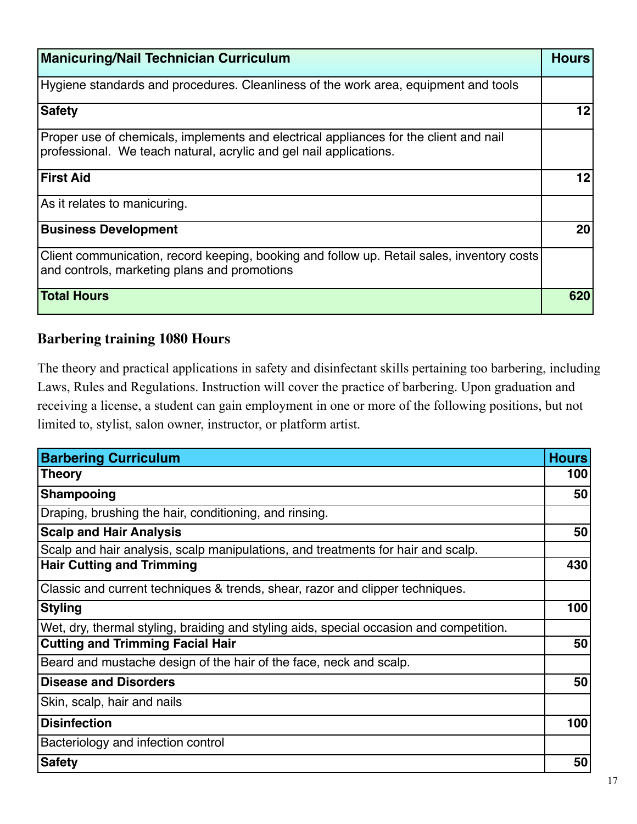| <b>Manicuring/Nail Technician Curriculum</b>                                                                                                                | <b>Hours</b> |
|-------------------------------------------------------------------------------------------------------------------------------------------------------------|--------------|
| Hygiene standards and procedures. Cleanliness of the work area, equipment and tools                                                                         |              |
| <b>Safety</b>                                                                                                                                               | 12           |
| Proper use of chemicals, implements and electrical appliances for the client and nail<br>professional. We teach natural, acrylic and gel nail applications. |              |
| <b>First Aid</b>                                                                                                                                            | 12           |
| As it relates to manicuring.                                                                                                                                |              |
| <b>Business Development</b>                                                                                                                                 | 20           |
| Client communication, record keeping, booking and follow up. Retail sales, inventory costs<br>and controls, marketing plans and promotions                  |              |
| <b>Total Hours</b>                                                                                                                                          | 620          |

# **Barbering training 1080 Hours**

The theory and practical applications in safety and disinfectant skills pertaining too barbering, including Laws, Rules and Regulations. Instruction will cover the practice of barbering. Upon graduation and receiving a license, a student can gain employment in one or more of the following positions, but not limited to, stylist, salon owner, instructor, or platform artist.

| <b>Barbering Curriculum</b>                                                             | <b>Hours</b> |
|-----------------------------------------------------------------------------------------|--------------|
| Theory                                                                                  | 100          |
| <b>Shampooing</b>                                                                       | 50           |
| Draping, brushing the hair, conditioning, and rinsing.                                  |              |
| <b>Scalp and Hair Analysis</b>                                                          | 50           |
| Scalp and hair analysis, scalp manipulations, and treatments for hair and scalp.        |              |
| <b>Hair Cutting and Trimming</b>                                                        | 430          |
| Classic and current techniques & trends, shear, razor and clipper techniques.           |              |
| <b>Styling</b>                                                                          | 100          |
| Wet, dry, thermal styling, braiding and styling aids, special occasion and competition. |              |
| <b>Cutting and Trimming Facial Hair</b>                                                 | 50           |
| Beard and mustache design of the hair of the face, neck and scalp.                      |              |
| <b>Disease and Disorders</b>                                                            | 50           |
| Skin, scalp, hair and nails                                                             |              |
| <b>Disinfection</b>                                                                     | 100          |
| Bacteriology and infection control                                                      |              |
| <b>Safety</b>                                                                           | 50           |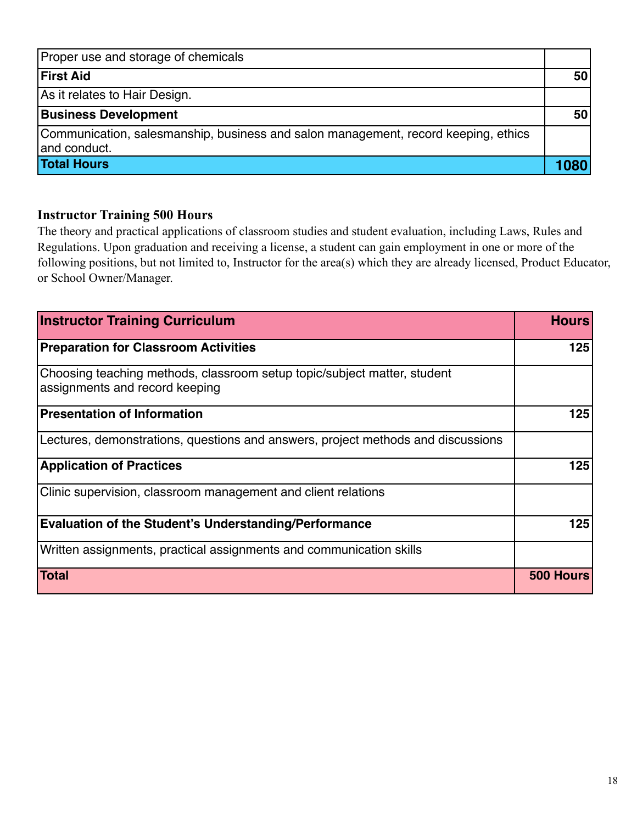| Proper use and storage of chemicals                                                                |      |
|----------------------------------------------------------------------------------------------------|------|
| <b>First Aid</b>                                                                                   | 50   |
| As it relates to Hair Design.                                                                      |      |
| <b>Business Development</b>                                                                        | 50   |
| Communication, salesmanship, business and salon management, record keeping, ethics<br>and conduct. |      |
| <b>Total Hours</b>                                                                                 | 1080 |

### **Instructor Training 500 Hours**

The theory and practical applications of classroom studies and student evaluation, including Laws, Rules and Regulations. Upon graduation and receiving a license, a student can gain employment in one or more of the following positions, but not limited to, Instructor for the area(s) which they are already licensed, Product Educator, or School Owner/Manager.

| <b>Instructor Training Curriculum</b>                                                                      | <b>Hours</b> |
|------------------------------------------------------------------------------------------------------------|--------------|
| <b>Preparation for Classroom Activities</b>                                                                | 125          |
| Choosing teaching methods, classroom setup topic/subject matter, student<br>assignments and record keeping |              |
| <b>Presentation of Information</b>                                                                         | 125          |
| Lectures, demonstrations, questions and answers, project methods and discussions                           |              |
| <b>Application of Practices</b>                                                                            | 125          |
| Clinic supervision, classroom management and client relations                                              |              |
| <b>Evaluation of the Student's Understanding/Performance</b>                                               | 125          |
| Written assignments, practical assignments and communication skills                                        |              |
| <b>Total</b>                                                                                               | 500 Hours    |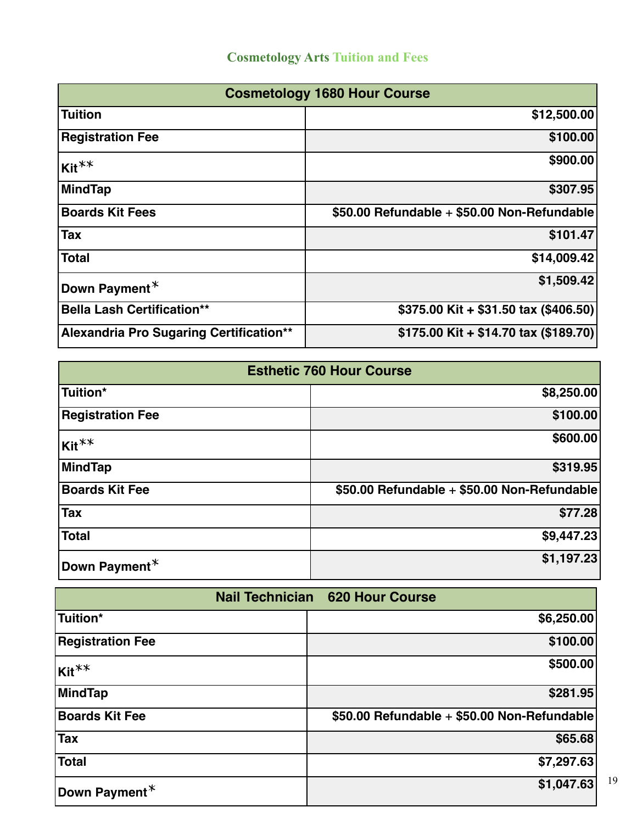| <b>Cosmetology 1680 Hour Course</b>     |                                             |  |
|-----------------------------------------|---------------------------------------------|--|
| <b>Tuition</b>                          | \$12,500.00                                 |  |
| <b>Registration Fee</b>                 | \$100.00                                    |  |
| Kit <sup>**</sup>                       | \$900.00                                    |  |
| <b>MindTap</b>                          | \$307.95                                    |  |
| <b>Boards Kit Fees</b>                  | \$50.00 Refundable + \$50.00 Non-Refundable |  |
| Tax                                     | \$101.47                                    |  |
| <b>Total</b>                            | \$14,009.42                                 |  |
| Down Payment $*$                        | \$1,509.42                                  |  |
| <b>Bella Lash Certification**</b>       | \$375.00 Kit + \$31.50 tax (\$406.50)       |  |
| Alexandria Pro Sugaring Certification** | \$175.00 Kit + \$14.70 tax (\$189.70)       |  |

| <b>Esthetic 760 Hour Course</b> |                                             |  |
|---------------------------------|---------------------------------------------|--|
| Tuition*                        | \$8,250.00                                  |  |
| <b>Registration Fee</b>         | \$100.00                                    |  |
| $Kit**$                         | \$600.00                                    |  |
| MindTap                         | \$319.95                                    |  |
| <b>Boards Kit Fee</b>           | \$50.00 Refundable + \$50.00 Non-Refundable |  |
| <b>Tax</b>                      | \$77.28                                     |  |
| <b>Total</b>                    | \$9,447.23                                  |  |
| Down Payment $*$                | \$1,197.23                                  |  |

|                         | <b>Nail Technician 620 Hour Course</b>      |
|-------------------------|---------------------------------------------|
| Tuition*                | \$6,250.00                                  |
| <b>Registration Fee</b> | \$100.00                                    |
| $Kit**$                 | \$500.00                                    |
| MindTap                 | \$281.95                                    |
| <b>Boards Kit Fee</b>   | \$50.00 Refundable + \$50.00 Non-Refundable |
| Tax                     | \$65.68                                     |
| Total                   | \$7,297.63                                  |
| Down Payment*           | \$1,047.63                                  |

19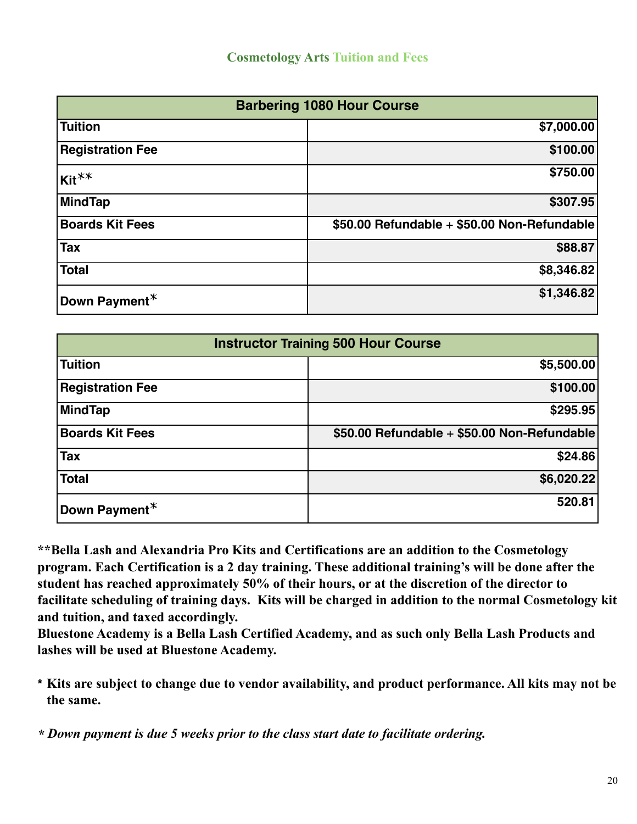| <b>Barbering 1080 Hour Course</b> |                                             |  |
|-----------------------------------|---------------------------------------------|--|
| <b>Tuition</b>                    | \$7,000.00                                  |  |
| <b>Registration Fee</b>           | \$100.00                                    |  |
| $Kit**$                           | \$750.00                                    |  |
| MindTap                           | \$307.95                                    |  |
| <b>Boards Kit Fees</b>            | \$50.00 Refundable + \$50.00 Non-Refundable |  |
| <b>Tax</b>                        | \$88.87                                     |  |
| <b>Total</b>                      | \$8,346.82                                  |  |
| Down Payment <sup>*</sup>         | \$1,346.82                                  |  |

| <b>Instructor Training 500 Hour Course</b> |                                             |  |  |
|--------------------------------------------|---------------------------------------------|--|--|
| <b>Tuition</b>                             | \$5,500.00                                  |  |  |
| <b>Registration Fee</b>                    | \$100.00                                    |  |  |
| MindTap                                    | \$295.95                                    |  |  |
| <b>Boards Kit Fees</b>                     | \$50.00 Refundable + \$50.00 Non-Refundable |  |  |
| <b>Tax</b>                                 | \$24.86                                     |  |  |
| <b>Total</b>                               | \$6,020.22                                  |  |  |
| Down Payment*                              | 520.81                                      |  |  |

**\*\*Bella Lash and Alexandria Pro Kits and Certifications are an addition to the Cosmetology program. Each Certification is a 2 day training. These additional training's will be done after the student has reached approximately 50% of their hours, or at the discretion of the director to facilitate scheduling of training days. Kits will be charged in addition to the normal Cosmetology kit and tuition, and taxed accordingly.** 

**Bluestone Academy is a Bella Lash Certified Academy, and as such only Bella Lash Products and lashes will be used at Bluestone Academy.** 

**\* Kits are subject to change due to vendor availability, and product performance. All kits may not be the same.**

*\* Down payment is due 5 weeks prior to the class start date to facilitate ordering.*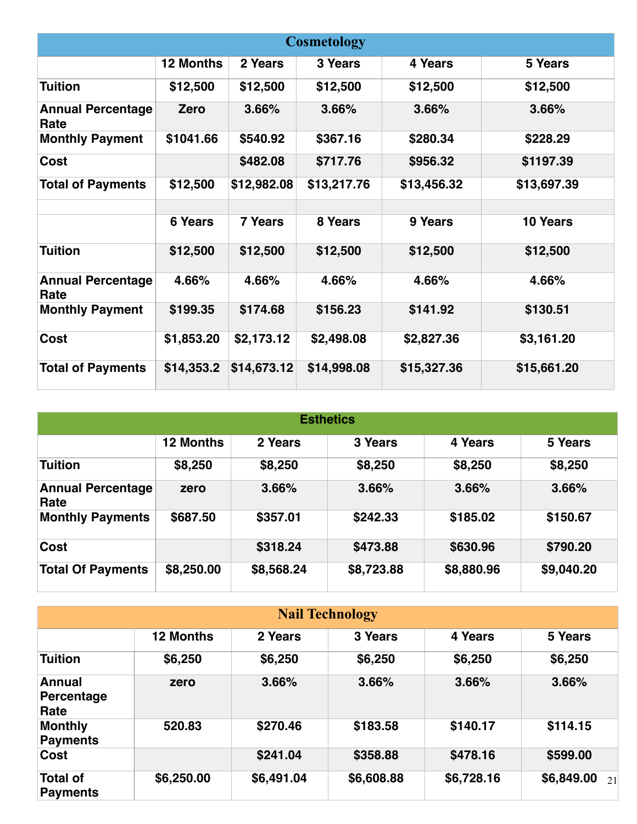| <b>Cosmetology</b>               |                  |                |             |             |             |
|----------------------------------|------------------|----------------|-------------|-------------|-------------|
|                                  | <b>12 Months</b> | 2 Years        | 3 Years     | 4 Years     | 5 Years     |
| <b>Tuition</b>                   | \$12,500         | \$12,500       | \$12,500    | \$12,500    | \$12,500    |
| <b>Annual Percentage</b><br>Rate | Zero             | 3.66%          | 3.66%       | 3.66%       | 3.66%       |
| <b>Monthly Payment</b>           | \$1041.66        | \$540.92       | \$367.16    | \$280.34    | \$228.29    |
| Cost                             |                  | \$482.08       | \$717.76    | \$956.32    | \$1197.39   |
| <b>Total of Payments</b>         | \$12,500         | \$12,982.08    | \$13,217.76 | \$13,456.32 | \$13,697.39 |
|                                  |                  |                |             |             |             |
|                                  | <b>6 Years</b>   | <b>7 Years</b> | 8 Years     | 9 Years     | 10 Years    |
| <b>Tuition</b>                   | \$12,500         | \$12,500       | \$12,500    | \$12,500    | \$12,500    |
| <b>Annual Percentage</b><br>Rate | 4.66%            | 4.66%          | 4.66%       | 4.66%       | 4.66%       |
| <b>Monthly Payment</b>           | \$199.35         | \$174.68       | \$156.23    | \$141.92    | \$130.51    |
| Cost                             | \$1,853.20       | \$2,173.12     | \$2,498.08  | \$2,827.36  | \$3,161.20  |
| <b>Total of Payments</b>         | \$14,353.2       | \$14,673.12    | \$14,998.08 | \$15,327.36 | \$15,661.20 |

| <b>Esthetics</b>                 |                  |            |            |            |            |
|----------------------------------|------------------|------------|------------|------------|------------|
|                                  | <b>12 Months</b> | 2 Years    | 3 Years    | 4 Years    | 5 Years    |
| <b>Tuition</b>                   | \$8,250          | \$8,250    | \$8,250    | \$8,250    | \$8,250    |
| <b>Annual Percentage</b><br>Rate | zero             | 3.66%      | 3.66%      | 3.66%      | 3.66%      |
| <b>Monthly Payments</b>          | \$687.50         | \$357.01   | \$242.33   | \$185.02   | \$150.67   |
| Cost                             |                  | \$318.24   | \$473.88   | \$630.96   | \$790.20   |
| <b>Total Of Payments</b>         | \$8,250.00       | \$8,568.24 | \$8,723.88 | \$8,880.96 | \$9,040.20 |

| <b>Nail Technology</b>              |                  |            |            |            |                  |
|-------------------------------------|------------------|------------|------------|------------|------------------|
|                                     | <b>12 Months</b> | 2 Years    | 3 Years    | 4 Years    | 5 Years          |
| <b>Tuition</b>                      | \$6,250          | \$6,250    | \$6,250    | \$6,250    | \$6,250          |
| <b>Annual</b><br>Percentage<br>Rate | zero             | 3.66%      | 3.66%      | 3.66%      | 3.66%            |
| <b>Monthly</b><br><b>Payments</b>   | 520.83           | \$270.46   | \$183.58   | \$140.17   | \$114.15         |
| Cost                                |                  | \$241.04   | \$358.88   | \$478.16   | \$599.00         |
| <b>Total of</b><br><b>Payments</b>  | \$6,250.00       | \$6,491.04 | \$6,608.88 | \$6,728.16 | \$6,849.00<br>21 |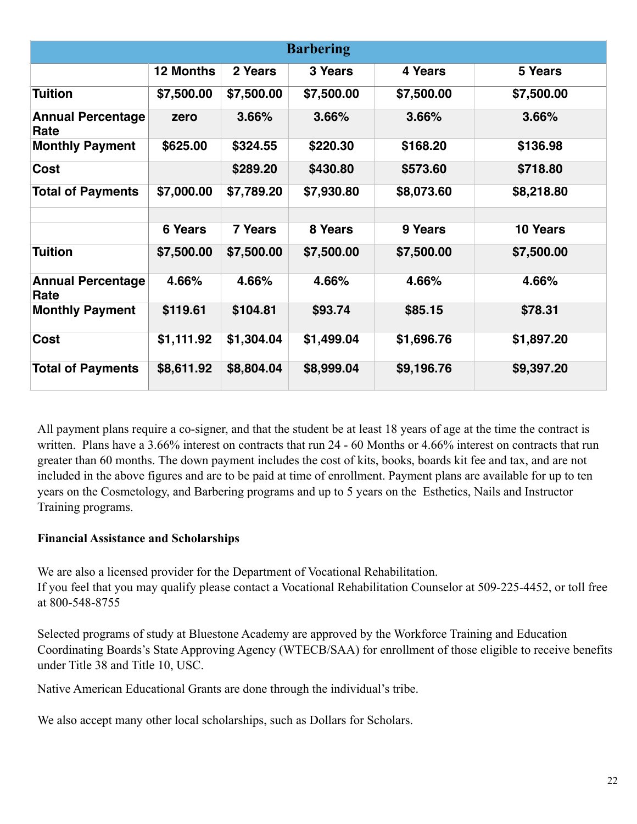|                                  |                  |                | <b>Barbering</b> |            |            |
|----------------------------------|------------------|----------------|------------------|------------|------------|
|                                  | <b>12 Months</b> | 2 Years        | 3 Years          | 4 Years    | 5 Years    |
| <b>Tuition</b>                   | \$7,500.00       | \$7,500.00     | \$7,500.00       | \$7,500.00 | \$7,500.00 |
| <b>Annual Percentage</b><br>Rate | zero             | 3.66%          | 3.66%            | 3.66%      | 3.66%      |
| <b>Monthly Payment</b>           | \$625.00         | \$324.55       | \$220.30         | \$168.20   | \$136.98   |
| Cost                             |                  | \$289.20       | \$430.80         | \$573.60   | \$718.80   |
| <b>Total of Payments</b>         | \$7,000.00       | \$7,789.20     | \$7,930.80       | \$8,073.60 | \$8,218.80 |
|                                  |                  |                |                  |            |            |
|                                  | <b>6 Years</b>   | <b>7 Years</b> | 8 Years          | 9 Years    | 10 Years   |
| <b>Tuition</b>                   | \$7,500.00       | \$7,500.00     | \$7,500.00       | \$7,500.00 | \$7,500.00 |
| <b>Annual Percentage</b><br>Rate | 4.66%            | 4.66%          | 4.66%            | 4.66%      | 4.66%      |
| <b>Monthly Payment</b>           | \$119.61         | \$104.81       | \$93.74          | \$85.15    | \$78.31    |
| Cost                             | \$1,111.92       | \$1,304.04     | \$1,499.04       | \$1,696.76 | \$1,897.20 |
| <b>Total of Payments</b>         | \$8,611.92       | \$8,804.04     | \$8,999.04       | \$9,196.76 | \$9,397.20 |

All payment plans require a co-signer, and that the student be at least 18 years of age at the time the contract is written. Plans have a 3.66% interest on contracts that run 24 - 60 Months or 4.66% interest on contracts that run greater than 60 months. The down payment includes the cost of kits, books, boards kit fee and tax, and are not included in the above figures and are to be paid at time of enrollment. Payment plans are available for up to ten years on the Cosmetology, and Barbering programs and up to 5 years on the Esthetics, Nails and Instructor Training programs.

#### **Financial Assistance and Scholarships**

We are also a licensed provider for the Department of Vocational Rehabilitation. If you feel that you may qualify please contact a Vocational Rehabilitation Counselor at 509-225-4452, or toll free at 800-548-8755

Selected programs of study at Bluestone Academy are approved by the Workforce Training and Education Coordinating Boards's State Approving Agency (WTECB/SAA) for enrollment of those eligible to receive benefits under Title 38 and Title 10, USC.

Native American Educational Grants are done through the individual's tribe.

We also accept many other local scholarships, such as Dollars for Scholars.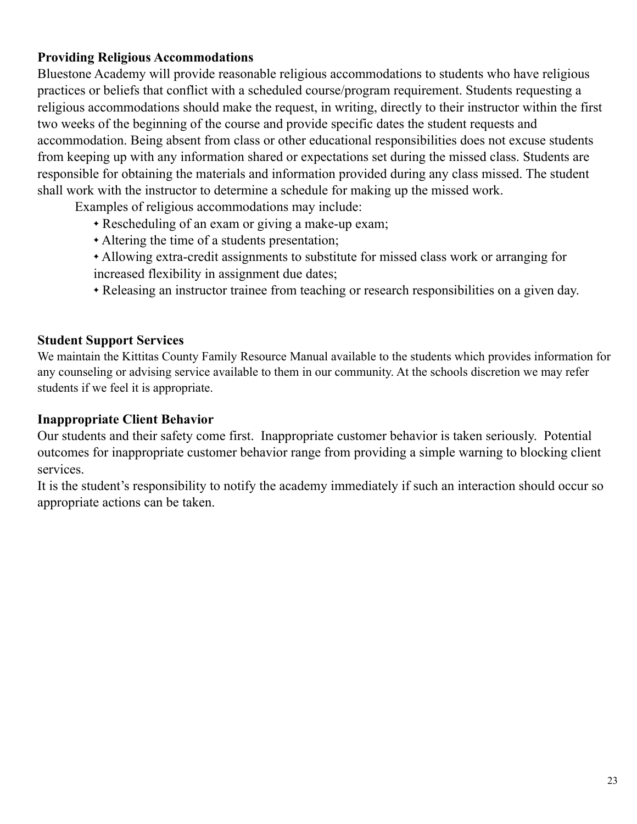### **Providing Religious Accommodations**

Bluestone Academy will provide reasonable religious accommodations to students who have religious practices or beliefs that conflict with a scheduled course/program requirement. Students requesting a religious accommodations should make the request, in writing, directly to their instructor within the first two weeks of the beginning of the course and provide specific dates the student requests and accommodation. Being absent from class or other educational responsibilities does not excuse students from keeping up with any information shared or expectations set during the missed class. Students are responsible for obtaining the materials and information provided during any class missed. The student shall work with the instructor to determine a schedule for making up the missed work.

Examples of religious accommodations may include:

- ✦ Rescheduling of an exam or giving a make-up exam;
- ✦ Altering the time of a students presentation;
- ✦ Allowing extra-credit assignments to substitute for missed class work or arranging for increased flexibility in assignment due dates;
- ✦ Releasing an instructor trainee from teaching or research responsibilities on a given day.

### **Student Support Services**

We maintain the Kittitas County Family Resource Manual available to the students which provides information for any counseling or advising service available to them in our community. At the schools discretion we may refer students if we feel it is appropriate.

### **Inappropriate Client Behavior**

Our students and their safety come first. Inappropriate customer behavior is taken seriously. Potential outcomes for inappropriate customer behavior range from providing a simple warning to blocking client services.

It is the student's responsibility to notify the academy immediately if such an interaction should occur so appropriate actions can be taken.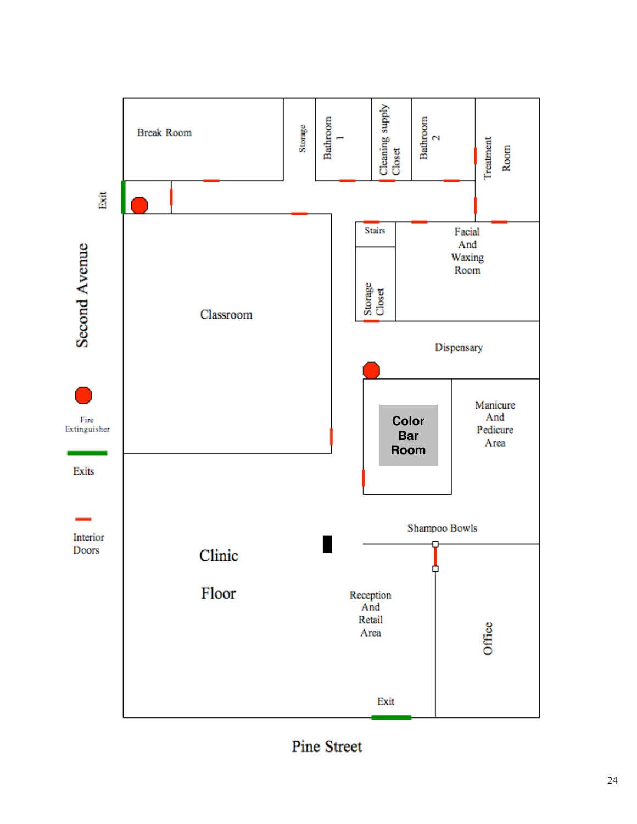

**Pine Street**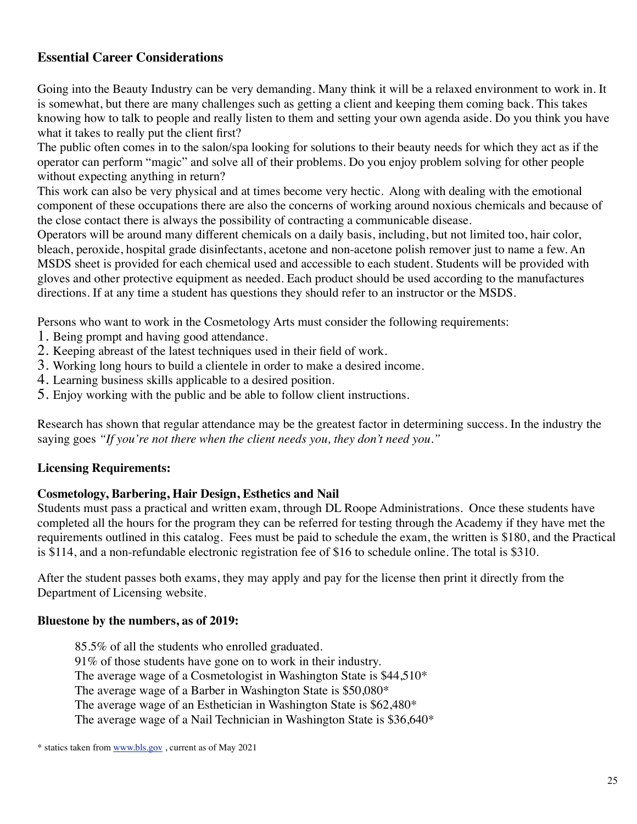### **Essential Career Considerations**

Going into the Beauty Industry can be very demanding. Many think it will be a relaxed environment to work in. It is somewhat, but there are many challenges such as getting a client and keeping them coming back. This takes knowing how to talk to people and really listen to them and setting your own agenda aside. Do you think you have what it takes to really put the client first?

The public often comes in to the salon/spa looking for solutions to their beauty needs for which they act as if the operator can perform "magic" and solve all of their problems. Do you enjoy problem solving for other people without expecting anything in return?

This work can also be very physical and at times become very hectic. Along with dealing with the emotional component of these occupations there are also the concerns of working around noxious chemicals and because of the close contact there is always the possibility of contracting a communicable disease.

Operators will be around many different chemicals on a daily basis, including, but not limited too, hair color, bleach, peroxide, hospital grade disinfectants, acetone and non-acetone polish remover just to name a few. An MSDS sheet is provided for each chemical used and accessible to each student. Students will be provided with gloves and other protective equipment as needed. Each product should be used according to the manufactures directions. If at any time a student has questions they should refer to an instructor or the MSDS.

Persons who want to work in the Cosmetology Arts must consider the following requirements:

- 1. Being prompt and having good attendance.
- 2. Keeping abreast of the latest techniques used in their field of work.
- 3. Working long hours to build a clientele in order to make a desired income.
- 4. Learning business skills applicable to a desired position.
- 5. Enjoy working with the public and be able to follow client instructions.

Research has shown that regular attendance may be the greatest factor in determining success. In the industry the saying goes *"If you're not there when the client needs you, they don't need you."*

#### **Licensing Requirements:**

#### **Cosmetology, Barbering, Hair Design, Esthetics and Nail**

Students must pass a practical and written exam, through DL Roope Administrations. Once these students have completed all the hours for the program they can be referred for testing through the Academy if they have met the requirements outlined in this catalog. Fees must be paid to schedule the exam, the written is \$180, and the Practical is \$114, and a non-refundable electronic registration fee of \$16 to schedule online. The total is \$310.

After the student passes both exams, they may apply and pay for the license then print it directly from the Department of Licensing website.

#### **Bluestone by the numbers, as of 2019:**

85.5% of all the students who enrolled graduated. 91% of those students have gone on to work in their industry. The average wage of a Cosmetologist in Washington State is \$44,510\* The average wage of a Barber in Washington State is \$50,080\* The average wage of an Esthetician in Washington State is \$62,480\* The average wage of a Nail Technician in Washington State is \$36,640\*